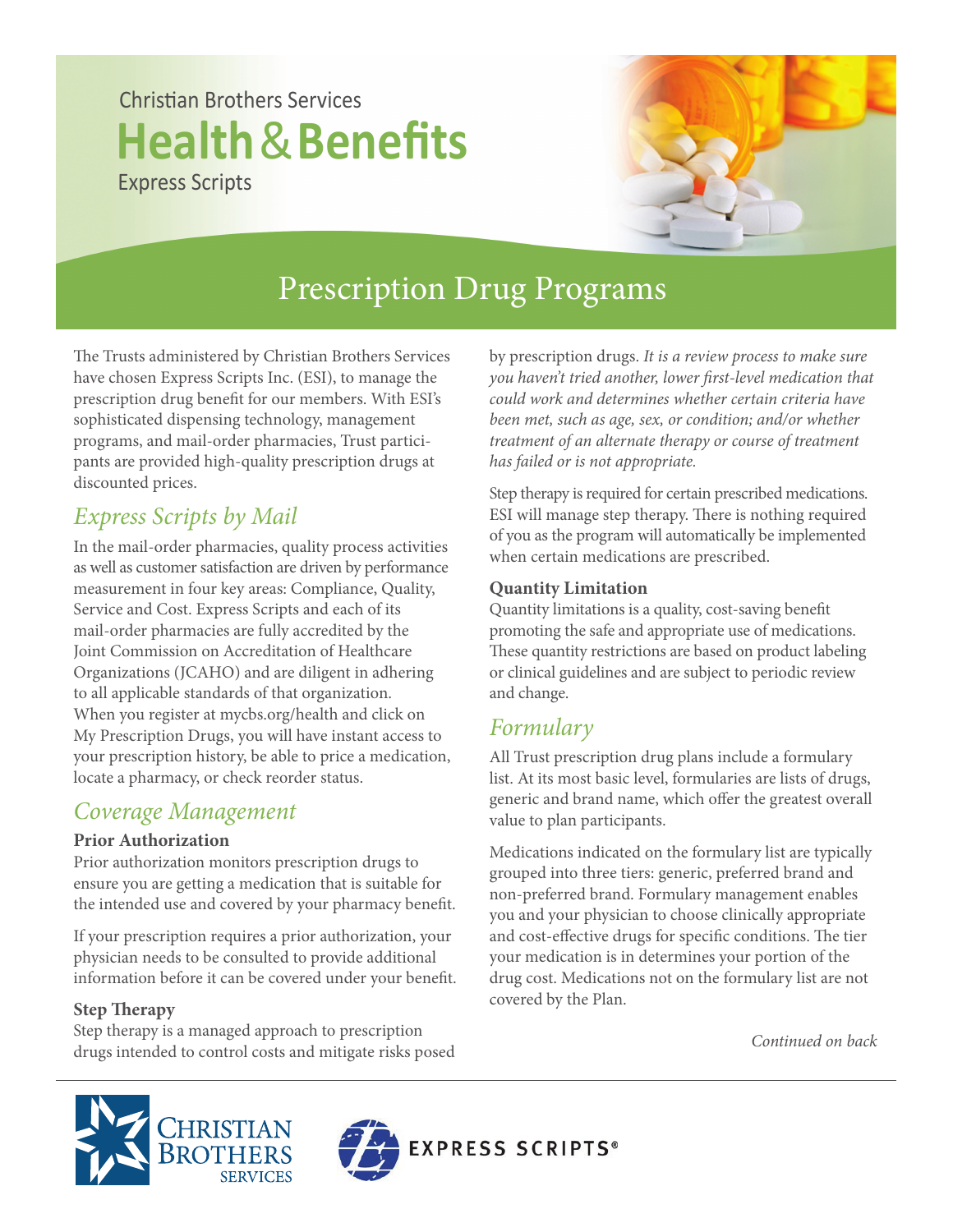# **Christian Brothers Services Health**&**Benefits** Express Scripts



# Prescription Drug Programs

The Trusts administered by Christian Brothers Services have chosen Express Scripts Inc. (ESI), to manage the prescription drug benefit for our members. With ESI's sophisticated dispensing technology, management programs, and mail-order pharmacies, Trust participants are provided high-quality prescription drugs at discounted prices.

# *Express Scripts by Mail*

In the mail-order pharmacies, quality process activities as well as customer satisfaction are driven by performance measurement in four key areas: Compliance, Quality, Service and Cost. Express Scripts and each of its mail-order pharmacies are fully accredited by the Joint Commission on Accreditation of Healthcare Organizations (JCAHO) and are diligent in adhering to all applicable standards of that organization. When you register at mycbs.org/health and click on My Prescription Drugs, you will have instant access to your prescription history, be able to price a medication, locate a pharmacy, or check reorder status.

## *Coverage Management*

#### **Prior Authorization**

Prior authorization monitors prescription drugs to ensure you are getting a medication that is suitable for the intended use and covered by your pharmacy benefit.

If your prescription requires a prior authorization, your physician needs to be consulted to provide additional information before it can be covered under your benefit.

### **Step Therapy**

Step therapy is a managed approach to prescription drugs intended to control costs and mitigate risks posed by prescription drugs. *It is a review process to make sure you haven't tried another, lower first-level medication that could work and determines whether certain criteria have been met, such as age, sex, or condition; and/or whether treatment of an alternate therapy or course of treatment has failed or is not appropriate.*

Step therapy is required for certain prescribed medications. ESI will manage step therapy. There is nothing required of you as the program will automatically be implemented when certain medications are prescribed.

#### **Quantity Limitation**

Quantity limitations is a quality, cost-saving benefit promoting the safe and appropriate use of medications. These quantity restrictions are based on product labeling or clinical guidelines and are subject to periodic review and change.

## *Formulary*

All Trust prescription drug plans include a formulary list. At its most basic level, formularies are lists of drugs, generic and brand name, which offer the greatest overall value to plan participants.

Medications indicated on the formulary list are typically grouped into three tiers: generic, preferred brand and non-preferred brand. Formulary management enables you and your physician to choose clinically appropriate and cost-effective drugs for specific conditions. The tier your medication is in determines your portion of the drug cost. Medications not on the formulary list are not covered by the Plan.

*Continued on back*